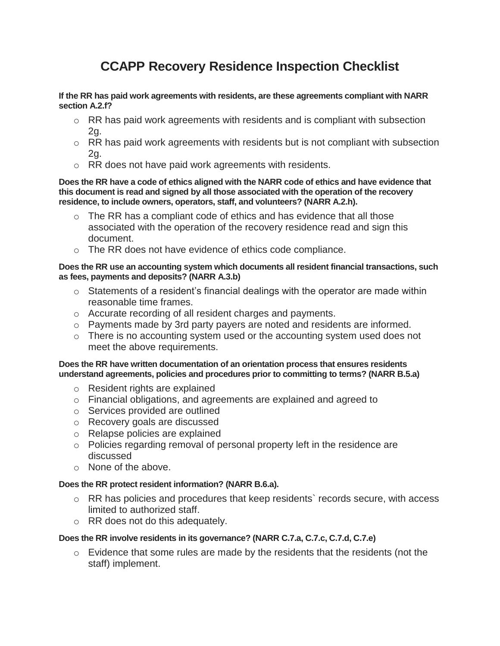# **CCAPP Recovery Residence Inspection Checklist**

**If the RR has paid work agreements with residents, are these agreements compliant with NARR section A.2.f?**

- $\circ$  RR has paid work agreements with residents and is compliant with subsection 2g.
- $\circ$  RR has paid work agreements with residents but is not compliant with subsection 2g.
- o RR does not have paid work agreements with residents.

**Does the RR have a code of ethics aligned with the NARR code of ethics and have evidence that this document is read and signed by all those associated with the operation of the recovery residence, to include owners, operators, staff, and volunteers? (NARR A.2.h).**

- $\circ$  The RR has a compliant code of ethics and has evidence that all those associated with the operation of the recovery residence read and sign this document.
- o The RR does not have evidence of ethics code compliance.

#### **Does the RR use an accounting system which documents all resident financial transactions, such as fees, payments and deposits? (NARR A.3.b)**

- $\circ$  Statements of a resident's financial dealings with the operator are made within reasonable time frames.
- o Accurate recording of all resident charges and payments.
- $\circ$  Payments made by 3rd party payers are noted and residents are informed.
- o There is no accounting system used or the accounting system used does not meet the above requirements.

#### **Does the RR have written documentation of an orientation process that ensures residents understand agreements, policies and procedures prior to committing to terms? (NARR B.5.a)**

- o Resident rights are explained
- o Financial obligations, and agreements are explained and agreed to
- o Services provided are outlined
- o Recovery goals are discussed
- o Relapse policies are explained
- o Policies regarding removal of personal property left in the residence are discussed
- o None of the above.

## **Does the RR protect resident information? (NARR B.6.a).**

- o RR has policies and procedures that keep residents` records secure, with access limited to authorized staff.
- o RR does not do this adequately.

## **Does the RR involve residents in its governance? (NARR C.7.a, C.7.c, C.7.d, C.7.e)**

 $\circ$  Evidence that some rules are made by the residents that the residents (not the staff) implement.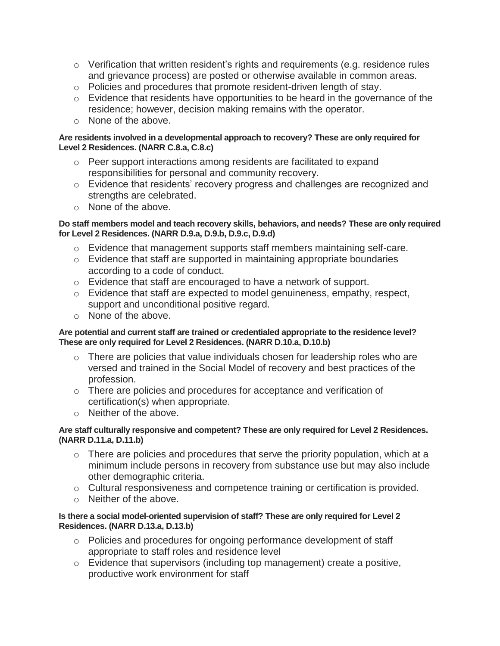- $\circ$  Verification that written resident's rights and requirements (e.g. residence rules and grievance process) are posted or otherwise available in common areas.
- o Policies and procedures that promote resident-driven length of stay.
- o Evidence that residents have opportunities to be heard in the governance of the residence; however, decision making remains with the operator.
- o None of the above.

## **Are residents involved in a developmental approach to recovery? These are only required for Level 2 Residences. (NARR C.8.a, C.8.c)**

- $\circ$  Peer support interactions among residents are facilitated to expand responsibilities for personal and community recovery.
- o Evidence that residents' recovery progress and challenges are recognized and strengths are celebrated.
- o None of the above.

## **Do staff members model and teach recovery skills, behaviors, and needs? These are only required for Level 2 Residences. (NARR D.9.a, D.9.b, D.9.c, D.9.d)**

- o Evidence that management supports staff members maintaining self-care.
- o Evidence that staff are supported in maintaining appropriate boundaries according to a code of conduct.
- o Evidence that staff are encouraged to have a network of support.
- o Evidence that staff are expected to model genuineness, empathy, respect, support and unconditional positive regard.
- o None of the above.

## **Are potential and current staff are trained or credentialed appropriate to the residence level? These are only required for Level 2 Residences. (NARR D.10.a, D.10.b)**

- $\circ$  There are policies that value individuals chosen for leadership roles who are versed and trained in the Social Model of recovery and best practices of the profession.
- o There are policies and procedures for acceptance and verification of certification(s) when appropriate.
- o Neither of the above.

## **Are staff culturally responsive and competent? These are only required for Level 2 Residences. (NARR D.11.a, D.11.b)**

- $\circ$  There are policies and procedures that serve the priority population, which at a minimum include persons in recovery from substance use but may also include other demographic criteria.
- $\circ$  Cultural responsiveness and competence training or certification is provided.
- o Neither of the above.

## **Is there a social model-oriented supervision of staff? These are only required for Level 2 Residences. (NARR D.13.a, D.13.b)**

- o Policies and procedures for ongoing performance development of staff appropriate to staff roles and residence level
- o Evidence that supervisors (including top management) create a positive, productive work environment for staff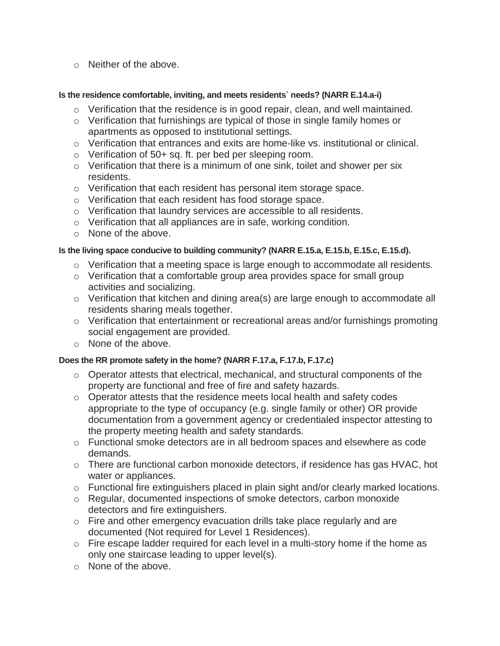o Neither of the above.

## **Is the residence comfortable, inviting, and meets residents` needs? (NARR E.14.a-i)**

- $\circ$  Verification that the residence is in good repair, clean, and well maintained.
- $\circ$  Verification that furnishings are typical of those in single family homes or apartments as opposed to institutional settings.
- o Verification that entrances and exits are home‐like vs. institutional or clinical.
- $\circ$  Verification of 50+ sq. ft. per bed per sleeping room.
- o Verification that there is a minimum of one sink, toilet and shower per six residents.
- o Verification that each resident has personal item storage space.
- o Verification that each resident has food storage space.
- o Verification that laundry services are accessible to all residents.
- o Verification that all appliances are in safe, working condition.
- o None of the above.

# **Is the living space conducive to building community? (NARR E.15.a, E.15.b, E.15.c, E.15.d).**

- o Verification that a meeting space is large enough to accommodate all residents.
- o Verification that a comfortable group area provides space for small group activities and socializing.
- $\circ$  Verification that kitchen and dining area(s) are large enough to accommodate all residents sharing meals together.
- o Verification that entertainment or recreational areas and/or furnishings promoting social engagement are provided.
- o None of the above.

# **Does the RR promote safety in the home? (NARR F.17.a, F.17.b, F.17.c)**

- $\circ$  Operator attests that electrical, mechanical, and structural components of the property are functional and free of fire and safety hazards.
- o Operator attests that the residence meets local health and safety codes appropriate to the type of occupancy (e.g. single family or other) OR provide documentation from a government agency or credentialed inspector attesting to the property meeting health and safety standards.
- o Functional smoke detectors are in all bedroom spaces and elsewhere as code demands.
- $\circ$  There are functional carbon monoxide detectors, if residence has gas HVAC, hot water or appliances.
- $\circ$  Functional fire extinguishers placed in plain sight and/or clearly marked locations.
- o Regular, documented inspections of smoke detectors, carbon monoxide detectors and fire extinguishers.
- o Fire and other emergency evacuation drills take place regularly and are documented (Not required for Level 1 Residences).
- o Fire escape ladder required for each level in a multi-story home if the home as only one staircase leading to upper level(s).
- o None of the above.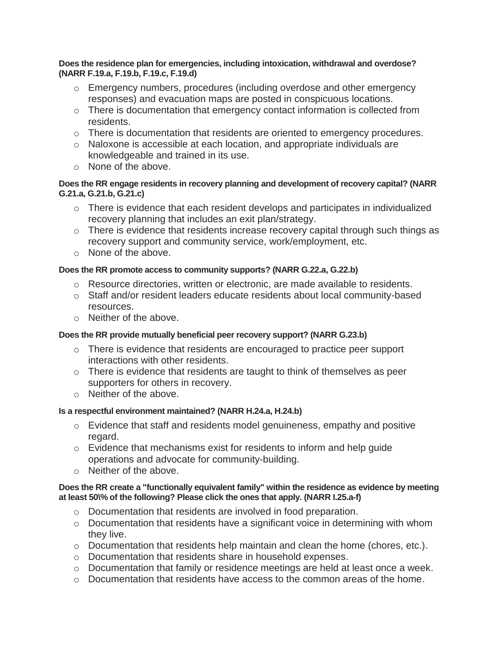#### **Does the residence plan for emergencies, including intoxication, withdrawal and overdose? (NARR F.19.a, F.19.b, F.19.c, F.19.d)**

- $\circ$  Emergency numbers, procedures (including overdose and other emergency responses) and evacuation maps are posted in conspicuous locations.
- o There is documentation that emergency contact information is collected from residents.
- $\circ$  There is documentation that residents are oriented to emergency procedures.
- o Naloxone is accessible at each location, and appropriate individuals are knowledgeable and trained in its use.
- o None of the above.

# **Does the RR engage residents in recovery planning and development of recovery capital? (NARR G.21.a, G.21.b, G.21.c)**

- $\circ$  There is evidence that each resident develops and participates in individualized recovery planning that includes an exit plan/strategy.
- o There is evidence that residents increase recovery capital through such things as recovery support and community service, work/employment, etc.
- o None of the above.

# **Does the RR promote access to community supports? (NARR G.22.a, G.22.b)**

- o Resource directories, written or electronic, are made available to residents.
- $\circ$  Staff and/or resident leaders educate residents about local community-based resources.
- o Neither of the above.

# **Does the RR provide mutually beneficial peer recovery support? (NARR G.23.b)**

- $\circ$  There is evidence that residents are encouraged to practice peer support interactions with other residents.
- $\circ$  There is evidence that residents are taught to think of themselves as peer supporters for others in recovery.
- o Neither of the above.

# **Is a respectful environment maintained? (NARR H.24.a, H.24.b)**

- $\circ$  Evidence that staff and residents model genuineness, empathy and positive regard.
- $\circ$  Evidence that mechanisms exist for residents to inform and help guide operations and advocate for community-building.
- o Neither of the above.

## **Does the RR create a "functionally equivalent family" within the residence as evidence by meeting at least 50\% of the following? Please click the ones that apply. (NARR I.25.a-f)**

- o Documentation that residents are involved in food preparation.
- $\circ$  Documentation that residents have a significant voice in determining with whom they live.
- $\circ$  Documentation that residents help maintain and clean the home (chores, etc.).
- o Documentation that residents share in household expenses.
- o Documentation that family or residence meetings are held at least once a week.
- o Documentation that residents have access to the common areas of the home.